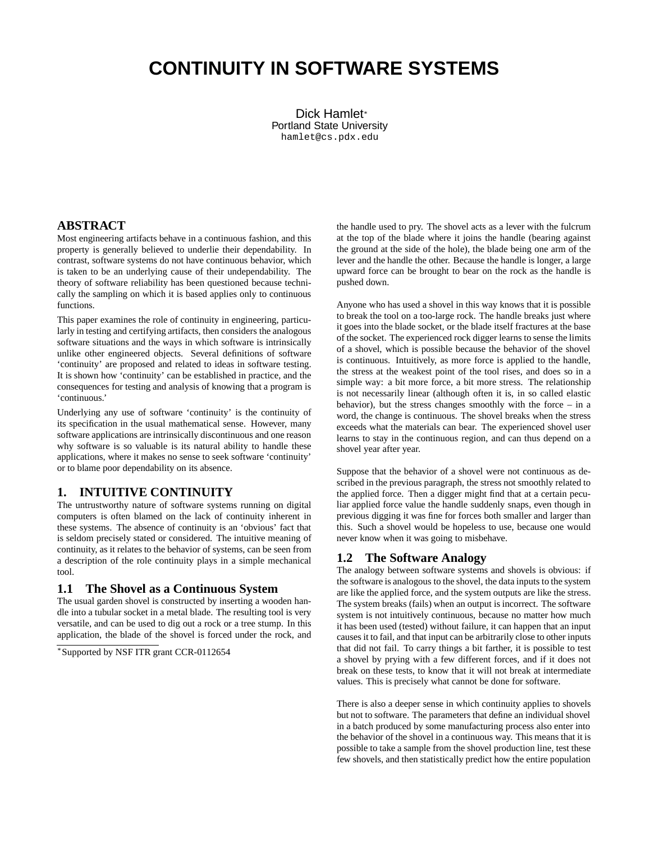# **CONTINUITY IN SOFTWARE SYSTEMS**

Dick Hamlet Portland State University hamlet@cs.pdx.edu

# **ABSTRACT**

Most engineering artifacts behave in a continuous fashion, and this property is generally believed to underlie their dependability. In contrast, software systems do not have continuous behavior, which is taken to be an underlying cause of their undependability. The theory of software reliability has been questioned because technically the sampling on which it is based applies only to continuous functions.

This paper examines the role of continuity in engineering, particularly in testing and certifying artifacts, then considers the analogous software situations and the ways in which software is intrinsically unlike other engineered objects. Several definitions of software 'continuity' are proposed and related to ideas in software testing. It is shown how 'continuity' can be established in practice, and the consequences for testing and analysis of knowing that a program is 'continuous.'

Underlying any use of software 'continuity' is the continuity of its specification in the usual mathematical sense. However, many software applications are intrinsically discontinuous and one reason why software is so valuable is its natural ability to handle these applications, where it makes no sense to seek software 'continuity' or to blame poor dependability on its absence.

# **1. INTUITIVE CONTINUITY**

The untrustworthy nature of software systems running on digital computers is often blamed on the lack of continuity inherent in these systems. The absence of continuity is an 'obvious' fact that is seldom precisely stated or considered. The intuitive meaning of continuity, as it relates to the behavior of systems, can be seen from a description of the role continuity plays in a simple mechanical tool.

#### **1.1 The Shovel as a Continuous System**

The usual garden shovel is constructed by inserting a wooden handle into a tubular socket in a metal blade. The resulting tool is very versatile, and can be used to dig out a rock or a tree stump. In this application, the blade of the shovel is forced under the rock, and

Supported by NSF ITR grant CCR-0112654

the handle used to pry. The shovel acts as a lever with the fulcrum at the top of the blade where it joins the handle (bearing against the ground at the side of the hole), the blade being one arm of the lever and the handle the other. Because the handle is longer, a large upward force can be brought to bear on the rock as the handle is pushed down.

Anyone who has used a shovel in this way knows that it is possible to break the tool on a too-large rock. The handle breaks just where it goes into the blade socket, or the blade itself fractures at the base of the socket. The experienced rock digger learns to sense the limits of a shovel, which is possible because the behavior of the shovel is continuous. Intuitively, as more force is applied to the handle, the stress at the weakest point of the tool rises, and does so in a simple way: a bit more force, a bit more stress. The relationship is not necessarily linear (although often it is, in so called elastic behavior), but the stress changes smoothly with the force  $-$  in a word, the change is continuous. The shovel breaks when the stress exceeds what the materials can bear. The experienced shovel user learns to stay in the continuous region, and can thus depend on a shovel year after year.

Suppose that the behavior of a shovel were not continuous as described in the previous paragraph, the stress not smoothly related to the applied force. Then a digger might find that at a certain peculiar applied force value the handle suddenly snaps, even though in previous digging it was fine for forces both smaller and larger than this. Such a shovel would be hopeless to use, because one would never know when it was going to misbehave.

#### **1.2 The Software Analogy**

The analogy between software systems and shovels is obvious: if the software is analogous to the shovel, the data inputs to the system are like the applied force, and the system outputs are like the stress. The system breaks (fails) when an output is incorrect. The software system is not intuitively continuous, because no matter how much it has been used (tested) without failure, it can happen that an input causes it to fail, and that input can be arbitrarily close to other inputs that did not fail. To carry things a bit farther, it is possible to test a shovel by prying with a few different forces, and if it does not break on these tests, to know that it will not break at intermediate values. This is precisely what cannot be done for software.

There is also a deeper sense in which continuity applies to shovels but not to software. The parameters that define an individual shovel in a batch produced by some manufacturing process also enter into the behavior of the shovel in a continuous way. This means that it is possible to take a sample from the shovel production line, test these few shovels, and then statistically predict how the entire population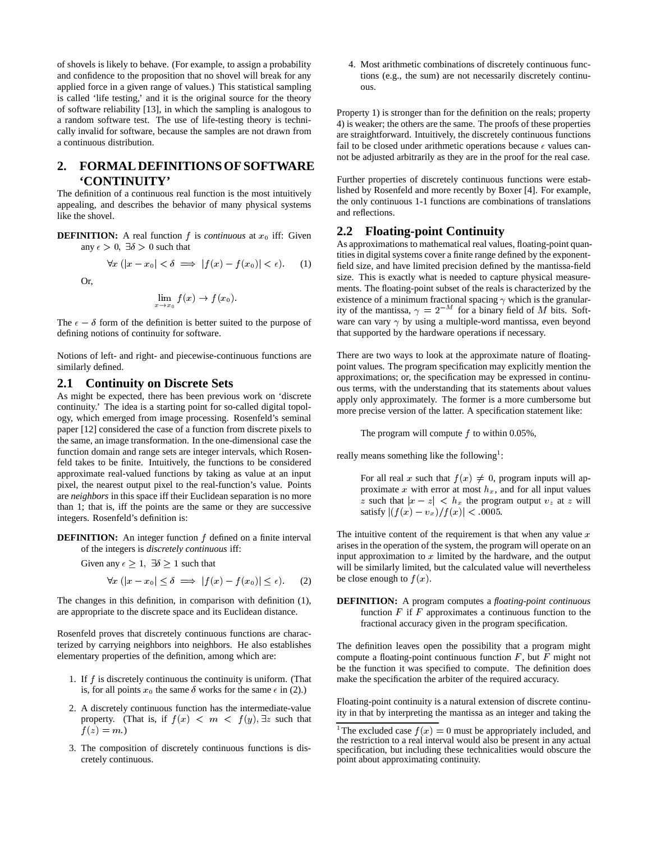of shovels is likely to behave. (For example, to assign a probability and confidence to the proposition that no shovel will break for any applied force in a given range of values.) This statistical sampling is called 'life testing,' and it is the original source for the theory of software reliability [13], in which the sampling is analogous to a random software test. The use of life-testing theory is technically invalid for software, because the samples are not drawn from a continuous distribution.

# **2. FORMAL DEFINITIONS OF SOFTWARE 'CONTINUITY'**

The definition of a continuous real function is the most intuitively appealing, and describes the behavior of many physical systems like the shovel.

**DEFINITION:** A real function f is *continuous* at  $x_0$  iff: Given any  $\epsilon > 0$ ,  $\exists \delta > 0$  such that

$$
\forall x \left( |x - x_0| < \delta \implies |f(x) - f(x_0)| < \epsilon \right). \tag{1}
$$

Or,

$$
\lim_{x \to x_0} f(x) \to f(x_0).
$$

The  $\epsilon - \delta$  form of the definition is better suited to the purpose of defining notions of continuity for software.

Notions of left- and right- and piecewise-continuous functions are similarly defined.

#### **2.1 Continuity on Discrete Sets**

As might be expected, there has been previous work on 'discrete continuity.' The idea is a starting point for so-called digital topology, which emerged from image processing. Rosenfeld's seminal paper [12] considered the case of a function from discrete pixels to the same, an image transformation. In the one-dimensional case the function domain and range sets are integer intervals, which Rosenfeld takes to be finite. Intuitively, the functions to be considered approximate real-valued functions by taking as value at an input pixel, the nearest output pixel to the real-function's value. Points are *neighbors* in this space iff their Euclidean separation is no more than 1; that is, iff the points are the same or they are successive integers. Rosenfeld's definition is:

**DEFINITION:** An integer function f defined on a finite interval of the integers is *discretely continuous* iff:

Given any  $\epsilon > 1$ ,  $\exists \delta > 1$  such that

$$
\forall x \ (|x - x_0| \le \delta \implies |f(x) - f(x_0)| \le \epsilon). \tag{2}
$$

The changes in this definition, in comparison with definition (1), are appropriate to the discrete space and its Euclidean distance.

Rosenfeld proves that discretely continuous functions are characterized by carrying neighbors into neighbors. He also establishes elementary properties of the definition, among which are:

- 1. If  $f$  is discretely continuous the continuity is uniform. (That is, for all points  $x_0$  the same  $\delta$  works for the same  $\epsilon$  in (2).)
- 2. A discretely continuous function has the intermediate-value property. (That is, if  $f(x) < m < f(y)$ ,  $\exists z$  such that  $f(z) = m.$
- 3. The composition of discretely continuous functions is discretely continuous.

4. Most arithmetic combinations of discretely continuous functions (e.g., the sum) are not necessarily discretely continuous.

Property 1) is stronger than for the definition on the reals; property 4) is weaker; the others are the same. The proofs of these properties are straightforward. Intuitively, the discretely continuous functions fail to be closed under arithmetic operations because  $\epsilon$  values cannot be adjusted arbitrarily as they are in the proof for the real case.

Further properties of discretely continuous functions were established by Rosenfeld and more recently by Boxer [4]. For example, the only continuous 1-1 functions are combinations of translations and reflections.

### **2.2 Floating-point Continuity**

As approximations to mathematical real values, floating-point quantities in digital systems cover a finite range defined by the exponentfield size, and have limited precision defined by the mantissa-field size. This is exactly what is needed to capture physical measurements. The floating-point subset of the reals is characterized by the existence of a minimum fractional spacing  $\gamma$  which is the granularity of the mantissa,  $\gamma = 2^{-M}$  for a binary field of M bits. Software can vary  $\gamma$  by using a multiple-word mantissa, even beyond that supported by the hardware operations if necessary.

There are two ways to look at the approximate nature of floatingpoint values. The program specification may explicitly mention the approximations; or, the specification may be expressed in continuous terms, with the understanding that its statements about values apply only approximately. The former is a more cumbersome but more precise version of the latter. A specification statement like:

The program will compute  $f$  to within 0.05%,

really means something like the following<sup>1</sup>:

For all real x such that  $f(x) \neq 0$ , program inputs will approximate  $x$  with error at most  $h_x$ , and for all input values z such that  $|x - z| < h_x$  the program output  $v_z$  at z will satisfy  $| (f(x) - v_x)/f(x) | < .0005$ .

The intuitive content of the requirement is that when any value  $x$ arises in the operation of the system, the program will operate on an input approximation to  $x$  limited by the hardware, and the output will be similarly limited, but the calculated value will nevertheless be close enough to  $f(x)$ .

**DEFINITION:** A program computes a *floating-point continuous* function  $F$  if  $F$  approximates a continuous function to the fractional accuracy given in the program specification.

The definition leaves open the possibility that a program might compute a floating-point continuous function  $F$ , but  $F$  might not be the function it was specified to compute. The definition does make the specification the arbiter of the required accuracy.

Floating-point continuity is a natural extension of discrete continuity in that by interpreting the mantissa as an integer and taking the

<sup>&</sup>lt;sup>1</sup>The excluded case  $f(x)=0$  must be appropriately included, and the restriction to a real interval would also be present in any actual specification, but including these technicalities would obscure the point about approximating continuity.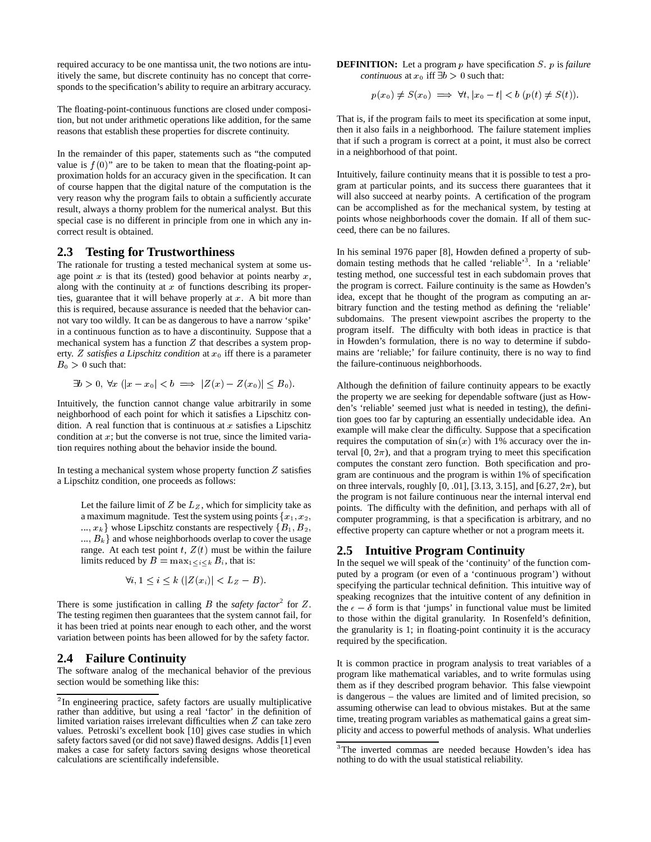required accuracy to be one mantissa unit, the two notions are intuitively the same, but discrete continuity has no concept that corresponds to the specification's ability to require an arbitrary accuracy.

The floating-point-continuous functions are closed under composition, but not under arithmetic operations like addition, for the same reasons that establish these properties for discrete continuity.

In the remainder of this paper, statements such as "the computed value is  $f(0)$ " are to be taken to mean that the floating-point approximation holds for an accuracy given in the specification. It can of course happen that the digital nature of the computation is the very reason why the program fails to obtain a sufficiently accurate result, always a thorny problem for the numerical analyst. But this special case is no different in principle from one in which any incorrect result is obtained.

#### **2.3 Testing for Trustworthiness**

The rationale for trusting a tested mechanical system at some usage point  $x$  is that its (tested) good behavior at points nearby  $x$ , along with the continuity at  $x$  of functions describing its properties, guarantee that it will behave properly at  $x$ . A bit more than this is required, because assurance is needed that the behavior cannot vary too wildly. It can be as dangerous to have a narrow 'spike' in a continuous function as to have a discontinuity. Suppose that a mechanical system has a function  $Z$  that describes a system property. Z *satisfies a Lipschitz condition* at  $x_0$  iff there is a parameter  $B_0 > 0$  such that:

$$
\exists b > 0, \ \forall x \ (|x - x_0| < b \implies |Z(x) - Z(x_0)| \leq B_0).
$$

Intuitively, the function cannot change value arbitrarily in some neighborhood of each point for which it satisfies a Lipschitz condition. A real function that is continuous at  $x$  satisfies a Lipschitz condition at  $x$ ; but the converse is not true, since the limited variation requires nothing about the behavior inside the bound.

In testing a mechanical system whose property function  $Z$  satisfies a Lipschitz condition, one proceeds as follows:

Let the failure limit of  $Z$  be  $L_Z$ , which for simplicity take as a maximum magnitude. Test the system using points  $\{x_1, x_2, \ldots\}$  $\ldots$ ,  $x_k$  whose Lipschitz constants are respectively  $\{B_1, B_2, \ldots, B_k\}$  $..., B_k$  and whose neighborhoods overlap to cover the usage range. At each test point  $t$ ,  $Z(t)$  must be within the failure limits reduced by  $B = \max_{1 \leq i \leq k} B_i$ , that is:

$$
\forall i, 1 \leq i \leq k \ (|Z(x_i)| < L_Z - B).
$$

There is some justification in calling  $B$  the *safety factor*<sup>2</sup> for  $Z$ . The testing regimen then guarantees that the system cannot fail, for it has been tried at points near enough to each other, and the worst variation between points has been allowed for by the safety factor.

# **2.4 Failure Continuity**

The software analog of the mechanical behavior of the previous section would be something like this:

**DEFINITION:** Let a program <sup>p</sup> have specification <sup>S</sup>. <sup>p</sup> is *failure continuous* at  $x_0$  iff  $\exists b > 0$  such that:

$$
p(x_0) \neq S(x_0) \implies \forall t, |x_0 - t| < b \ (p(t) \neq S(t)).
$$

That is, if the program fails to meet its specification at some input, then it also fails in a neighborhood. The failure statement implies that if such a program is correct at a point, it must also be correct in a neighborhood of that point.

Intuitively, failure continuity means that it is possible to test a program at particular points, and its success there guarantees that it will also succeed at nearby points. A certification of the program can be accomplished as for the mechanical system, by testing at points whose neighborhoods cover the domain. If all of them succeed, there can be no failures.

In his seminal 1976 paper [8], Howden defined a property of subdomain testing methods that he called 'reliable'<sup>3</sup>. In a 'reliable' testing method, one successful test in each subdomain proves that the program is correct. Failure continuity is the same as Howden's idea, except that he thought of the program as computing an arbitrary function and the testing method as defining the 'reliable' subdomains. The present viewpoint ascribes the property to the program itself. The difficulty with both ideas in practice is that in Howden's formulation, there is no way to determine if subdomains are 'reliable;' for failure continuity, there is no way to find the failure-continuous neighborhoods.

Although the definition of failure continuity appears to be exactly the property we are seeking for dependable software (just as Howden's 'reliable' seemed just what is needed in testing), the definition goes too far by capturing an essentially undecidable idea. An example will make clear the difficulty. Suppose that a specification requires the computation of  $sin(x)$  with 1% accuracy over the interval  $[0, 2\pi)$ , and that a program trying to meet this specification computes the constant zero function. Both specification and program are continuous and the program is within 1% of specification on three intervals, roughly [0, .01], [3.13, 3.15], and [6.27,  $2\pi$ ), but the program is not failure continuous near the internal interval end points. The difficulty with the definition, and perhaps with all of computer programming, is that a specification is arbitrary, and no effective property can capture whether or not a program meets it.

# **2.5 Intuitive Program Continuity**

In the sequel we will speak of the 'continuity' of the function computed by a program (or even of a 'continuous program') without specifying the particular technical definition. This intuitive way of speaking recognizes that the intuitive content of any definition in the  $\epsilon - \delta$  form is that 'jumps' in functional value must be limited to those within the digital granularity. In Rosenfeld's definition, the granularity is 1; in floating-point continuity it is the accuracy required by the specification.

It is common practice in program analysis to treat variables of a program like mathematical variables, and to write formulas using them as if they described program behavior. This false viewpoint is dangerous – the values are limited and of limited precision, so assuming otherwise can lead to obvious mistakes. But at the same time, treating program variables as mathematical gains a great simplicity and access to powerful methods of analysis. What underlies

<sup>&</sup>lt;sup>2</sup>In engineering practice, safety factors are usually multiplicative rather than additive, but using a real 'factor' in the definition of limited variation raises irrelevant difficulties when <sup>Z</sup> can take zero values. Petroski's excellent book [10] gives case studies in which safety factors saved (or did not save) flawed designs. Addis [1] even makes a case for safety factors saving designs whose theoretical calculations are scientifically indefensible.

<sup>&</sup>lt;sup>3</sup>The inverted commas are needed because Howden's idea has nothing to do with the usual statistical reliability.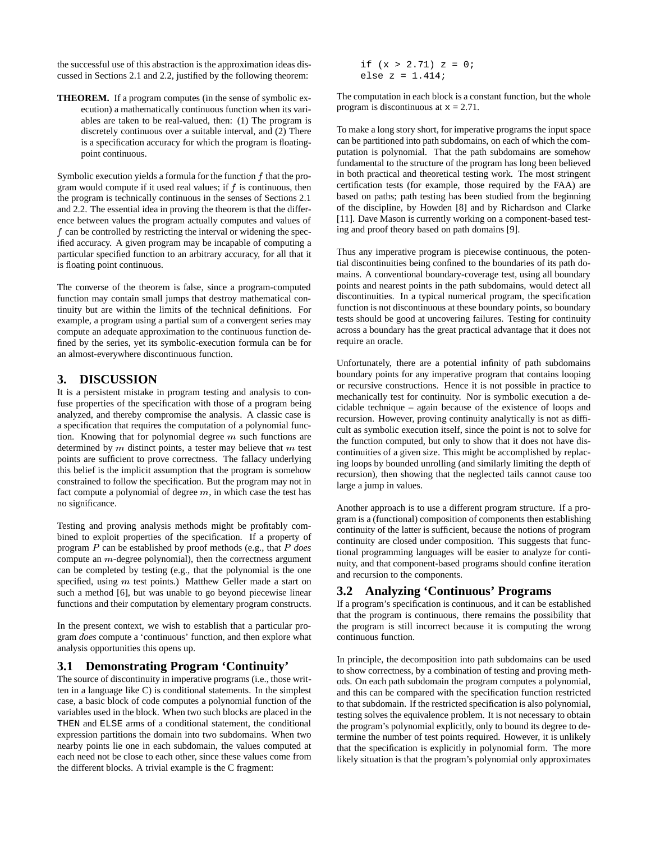the successful use of this abstraction is the approximation ideas discussed in Sections 2.1 and 2.2, justified by the following theorem:

**THEOREM.** If a program computes (in the sense of symbolic execution) a mathematically continuous function when its variables are taken to be real-valued, then: (1) The program is discretely continuous over a suitable interval, and (2) There is a specification accuracy for which the program is floatingpoint continuous.

Symbolic execution yields a formula for the function  $f$  that the program would compute if it used real values; if  $f$  is continuous, then the program is technically continuous in the senses of Sections 2.1 and 2.2. The essential idea in proving the theorem is that the difference between values the program actually computes and values of  $f$  can be controlled by restricting the interval or widening the specified accuracy. A given program may be incapable of computing a particular specified function to an arbitrary accuracy, for all that it is floating point continuous.

The converse of the theorem is false, since a program-computed function may contain small jumps that destroy mathematical continuity but are within the limits of the technical definitions. For example, a program using a partial sum of a convergent series may compute an adequate approximation to the continuous function defined by the series, yet its symbolic-execution formula can be for an almost-everywhere discontinuous function.

### **3. DISCUSSION**

It is a persistent mistake in program testing and analysis to confuse properties of the specification with those of a program being analyzed, and thereby compromise the analysis. A classic case is a specification that requires the computation of a polynomial function. Knowing that for polynomial degree  $m$  such functions are determined by  $m$  distinct points, a tester may believe that  $m$  test points are sufficient to prove correctness. The fallacy underlying this belief is the implicit assumption that the program is somehow constrained to follow the specification. But the program may not in fact compute a polynomial of degree  $m$ , in which case the test has no significance.

Testing and proving analysis methods might be profitably combined to exploit properties of the specification. If a property of program <sup>P</sup> can be established by proof methods (e.g., that <sup>P</sup> *does* compute an <sup>m</sup>-degree polynomial), then the correctness argument can be completed by testing (e.g., that the polynomial is the one specified, using  $m$  test points.) Matthew Geller made a start on such a method [6], but was unable to go beyond piecewise linear functions and their computation by elementary program constructs.

In the present context, we wish to establish that a particular program *does* compute a 'continuous' function, and then explore what analysis opportunities this opens up.

#### **3.1 Demonstrating Program 'Continuity'**

The source of discontinuity in imperative programs (i.e., those written in a language like C) is conditional statements. In the simplest case, a basic block of code computes a polynomial function of the variables used in the block. When two such blocks are placed in the THEN and ELSE arms of a conditional statement, the conditional expression partitions the domain into two subdomains. When two nearby points lie one in each subdomain, the values computed at each need not be close to each other, since these values come from the different blocks. A trivial example is the C fragment:

if 
$$
(x > 2.71) z = 0
$$
;  
else  $z = 1.414$ ;

The computation in each block is a constant function, but the whole program is discontinuous at  $x = 2.71$ .

To make a long story short, for imperative programs the input space can be partitioned into path subdomains, on each of which the computation is polynomial. That the path subdomains are somehow fundamental to the structure of the program has long been believed in both practical and theoretical testing work. The most stringent certification tests (for example, those required by the FAA) are based on paths; path testing has been studied from the beginning of the discipline, by Howden [8] and by Richardson and Clarke [11]. Dave Mason is currently working on a component-based testing and proof theory based on path domains [9].

Thus any imperative program is piecewise continuous, the potential discontinuities being confined to the boundaries of its path domains. A conventional boundary-coverage test, using all boundary points and nearest points in the path subdomains, would detect all discontinuities. In a typical numerical program, the specification function is not discontinuous at these boundary points, so boundary tests should be good at uncovering failures. Testing for continuity across a boundary has the great practical advantage that it does not require an oracle.

Unfortunately, there are a potential infinity of path subdomains boundary points for any imperative program that contains looping or recursive constructions. Hence it is not possible in practice to mechanically test for continuity. Nor is symbolic execution a decidable technique – again because of the existence of loops and recursion. However, proving continuity analytically is not as difficult as symbolic execution itself, since the point is not to solve for the function computed, but only to show that it does not have discontinuities of a given size. This might be accomplished by replacing loops by bounded unrolling (and similarly limiting the depth of recursion), then showing that the neglected tails cannot cause too large a jump in values.

Another approach is to use a different program structure. If a program is a (functional) composition of components then establishing continuity of the latter is sufficient, because the notions of program continuity are closed under composition. This suggests that functional programming languages will be easier to analyze for continuity, and that component-based programs should confine iteration and recursion to the components.

# **3.2 Analyzing 'Continuous' Programs**

If a program's specification is continuous, and it can be established that the program is continuous, there remains the possibility that the program is still incorrect because it is computing the wrong continuous function.

In principle, the decomposition into path subdomains can be used to show correctness, by a combination of testing and proving methods. On each path subdomain the program computes a polynomial, and this can be compared with the specification function restricted to that subdomain. If the restricted specification is also polynomial, testing solves the equivalence problem. It is not necessary to obtain the program's polynomial explicitly, only to bound its degree to determine the number of test points required. However, it is unlikely that the specification is explicitly in polynomial form. The more likely situation is that the program's polynomial only approximates